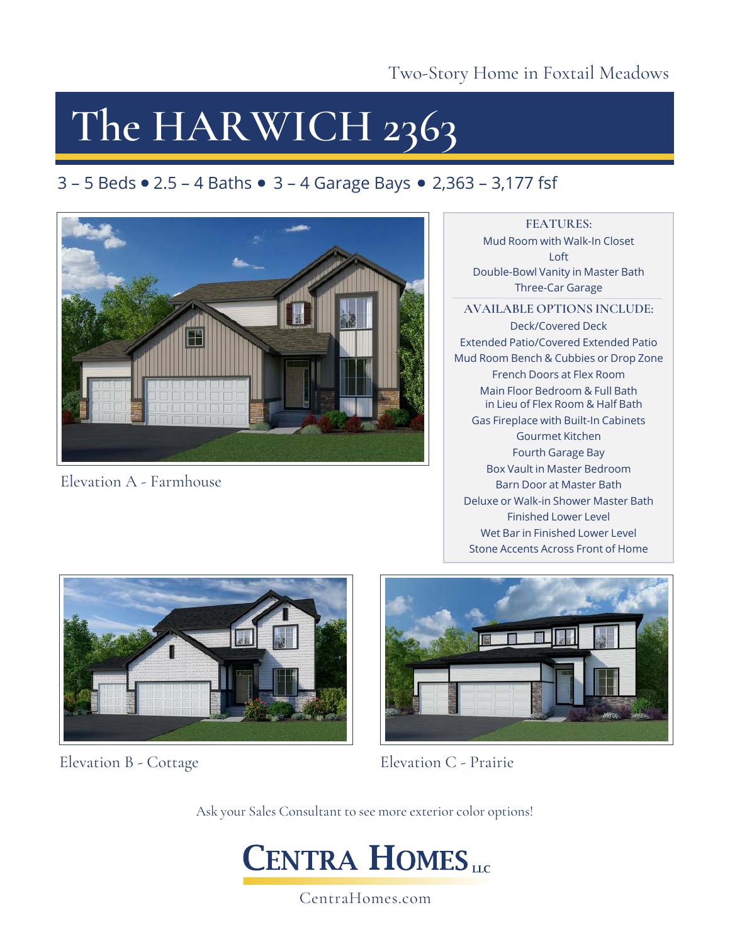Two-Story Home in Foxtail Meadows

## **The HARWICH 2363**

### $3 - 5$  Beds  $\bullet$  2.5 – 4 Baths  $\bullet$  3 – 4 Garage Bays  $\bullet$  2,363 – 3,177 fsf



Elevation A - Farmhouse

**FEATURES:** Mud Room with Walk-In Closet Loft Double-Bowl Vanity in Master Bath Three-Car Garage

**AVAILABLE OPTIONS INCLUDE:** Deck/Covered Deck Extended Patio/Covered Extended Patio Mud Room Bench & Cubbies or Drop Zone French Doors at Flex Room Main Floor Bedroom & Full Bath in Lieu of Flex Room & Half Bath Gas Fireplace with Built-In Cabinets Gourmet Kitchen Fourth Garage Bay Box Vault in Master Bedroom Barn Door at Master Bath Deluxe or Walk-in Shower Master Bath Finished Lower Level Wet Bar in Finished Lower Level Stone Accents Across Front of Home



Elevation B - Cottage



Elevation C - Prairie

Ask your Sales Consultant to see more exterior color options!



CentraHomes.com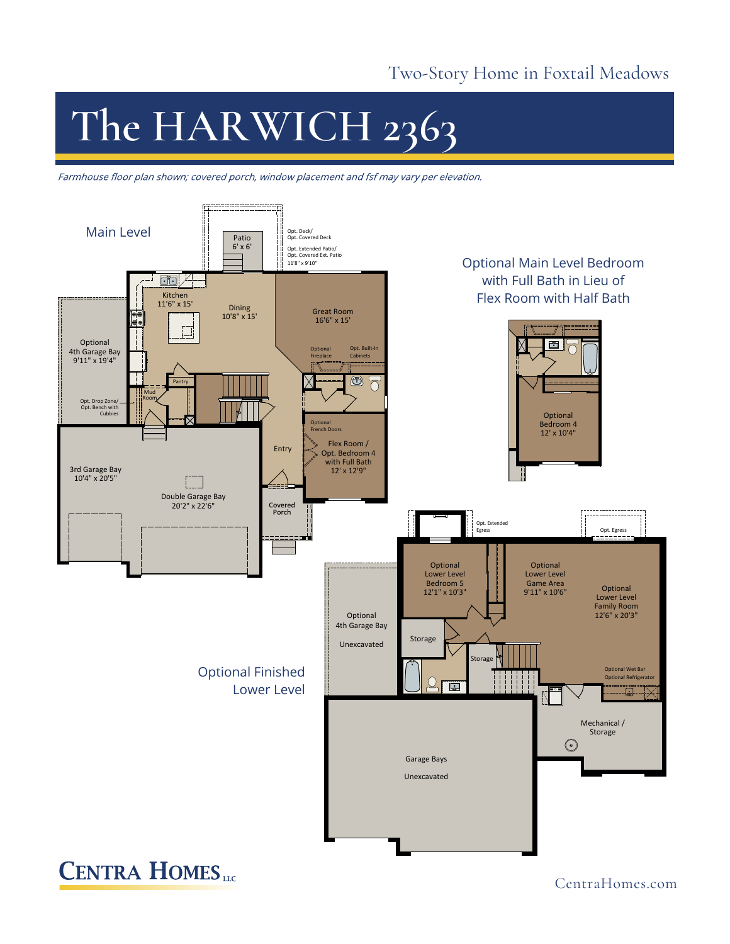#### Two-Story Home in Foxtail Meadows

# **The HARWICH 2363**

Farmhouse floor plan shown; covered porch, window placement and fsf may vary per elevation.



CentraHomes.com